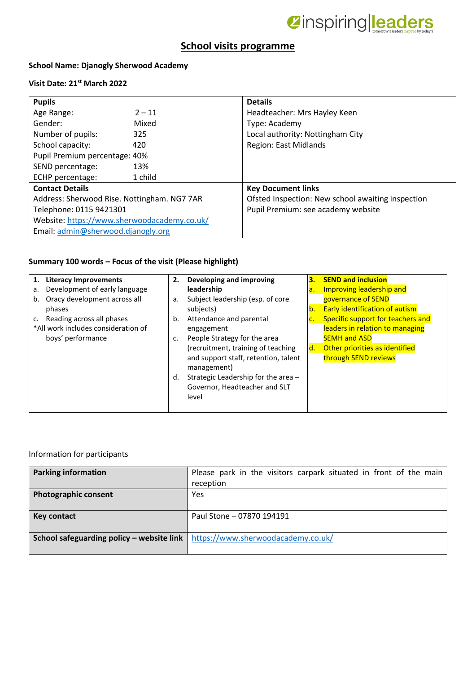

## **School visits programme**

#### **School Name: Djanogly Sherwood Academy**

#### **Visit Date: 21st March 2022**

| <b>Pupils</b>                               |          | <b>Details</b>                                    |  |
|---------------------------------------------|----------|---------------------------------------------------|--|
| Age Range:                                  | $2 - 11$ | Headteacher: Mrs Hayley Keen                      |  |
| Gender:                                     | Mixed    | Type: Academy                                     |  |
| Number of pupils:                           | 325      | Local authority: Nottingham City                  |  |
| School capacity:                            | 420      | Region: East Midlands                             |  |
| Pupil Premium percentage: 40%               |          |                                                   |  |
| SEND percentage:                            | 13%      |                                                   |  |
| ECHP percentage:                            | 1 child  |                                                   |  |
| <b>Contact Details</b>                      |          | <b>Key Document links</b>                         |  |
| Address: Sherwood Rise. Nottingham. NG7 7AR |          | Ofsted Inspection: New school awaiting inspection |  |
| Telephone: 0115 9421301                     |          | Pupil Premium: see academy website                |  |
| Website: https://www.sherwoodacademy.co.uk/ |          |                                                   |  |
| Email: admin@sherwood.djanogly.org          |          |                                                   |  |

### **Summary 100 words – Focus of the visit (Please highlight)**

| <b>Literacy Improvements</b><br>1.  | 2. | Developing and improving             | З. | <b>SEND and inclusion</b>             |
|-------------------------------------|----|--------------------------------------|----|---------------------------------------|
| Development of early language<br>a. |    | leadership                           | a. | Improving leadership and              |
| Oracy development across all<br>b.  |    | Subject leadership (esp. of core     |    | governance of SEND                    |
| phases                              |    | subjects)                            | b. | <b>Early identification of autism</b> |
| Reading across all phases<br>c.     |    | Attendance and parental              | c. | Specific support for teachers and     |
| *All work includes consideration of |    | engagement                           |    | leaders in relation to managing       |
| boys' performance                   |    | People Strategy for the area         |    | <b>SEMH and ASD</b>                   |
|                                     |    | (recruitment, training of teaching   | d. | Other priorities as identified        |
|                                     |    | and support staff, retention, talent |    | through SEND reviews                  |
|                                     |    | management)                          |    |                                       |
|                                     | d. | Strategic Leadership for the area -  |    |                                       |
|                                     |    | Governor, Headteacher and SLT        |    |                                       |
|                                     |    | level                                |    |                                       |
|                                     |    |                                      |    |                                       |

#### Information for participants

| <b>Parking information</b>                | Please park in the visitors carpark situated in front of the main<br>reception |
|-------------------------------------------|--------------------------------------------------------------------------------|
| <b>Photographic consent</b>               | Yes                                                                            |
| <b>Key contact</b>                        | Paul Stone - 07870 194191                                                      |
| School safeguarding policy - website link | https://www.sherwoodacademy.co.uk/                                             |